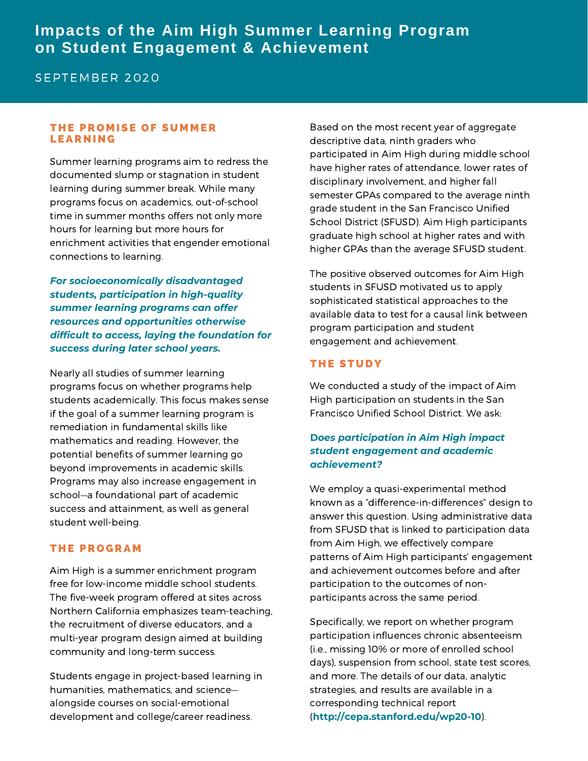## **Impacts of the Aim High Summer Learning Program on Student Engagement & Achievement**

## SEPTEMBER 2020

#### THE PROMISE OF SUMMER **LEARNING**

Summer learning programs aim to redress the documented slump or stagnation in student learning during summer break. While many programs focus on academics, out-of-school time in summer months offers not only more hours for learning but more hours for enrichment activities that engender emotional connections to learning.

*For socioeconomically disadvantaged students, participation in high-quality summer learning programs can offer resources and opportunities otherwise difficult to access, laying the foundation for success during later school years.*

Nearly all studies of summer learning programs focus on whether programs help students academically. This focus makes sense if the goal of a summer learning program is remediation in fundamental skills like mathematics and reading. However, the potential benefits of summer learning go beyond improvements in academic skills. Programs may also increase engagement in school—a foundational part of academic success and attainment, as well as general student well-being.

#### **THE PROGRAM**

Aim High is a summer enrichment program free for low-income middle school students. The five-week program offered at sites across Northern California emphasizes team-teaching, the recruitment of diverse educators, and a multi-year program design aimed at building community and long-term success.

Students engage in project-based learning in humanities, mathematics, and science alongside courses on social-emotional development and college/career readiness.

Based on the most recent year of aggregate descriptive data, ninth graders who participated in Aim High during middle school have higher rates of attendance, lower rates of disciplinary involvement, and higher fall semester GPAs compared to the average ninth grade student in the San Francisco Unified School District (SFUSD). Aim High participants graduate high school at higher rates and with higher GPAs than the average SFUSD student.

The positive observed outcomes for Aim High students in SFUSD motivated us to apply sophisticated statistical approaches to the available data to test for a causal link between program participation and student engagement and achievement.

#### **THE STUDY**

We conducted a study of the impact of Aim High participation on students in the San Francisco Unified School District. We ask:

### **D***oes participation in Aim High impact student engagement and academic achievement?*

We employ a quasi-experimental method known as a "difference-in-differences" design to answer this question. Using administrative data from SFUSD that is linked to participation data from Aim High, we effectively compare patterns of Aim High participants' engagement and achievement outcomes before and after participation to the outcomes of nonparticipants across the same period.

Specifically, we report on whether program participation influences chronic absenteeism (i.e., missing 10% or more of enrolled school days), suspension from school, state test scores, and more. The details of our data, analytic strategies, and results are available in a corresponding technical report (**http://cepa.stanford.edu/wp20-10**).